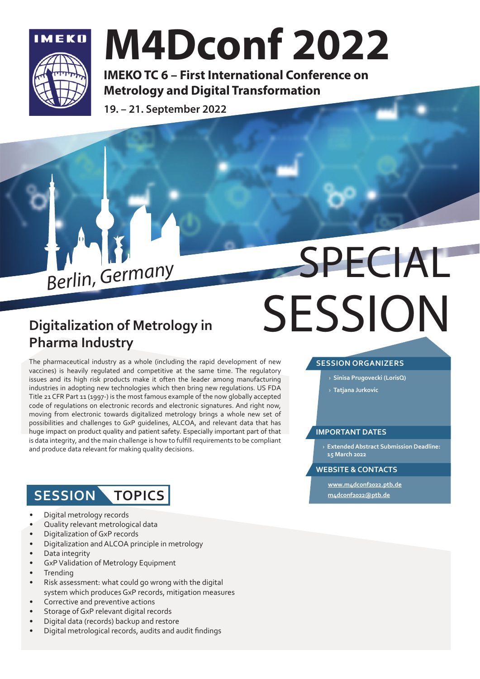

## M4Dconf 2022

IMEKO TC 6 – First International Conference on Metrology and Digital Transformation

19. – 21. September 2022



# Berlin, Germany SPECIAL **SESSION**

### **Digitalization of Metrology in Pharma Industry**

The pharmaceutical industry as a whole (including the rapid development of new vaccines) is heavily regulated and competitive at the same time. The regulatory issues and its high risk products make it often the leader among manufacturing industries in adopting new technologies which then bring new regulations. US FDA Title 21 CFR Part 11 (1997-) is the most famous example of the now globally accepted code of regulations on electronic records and electronic signatures. And right now, moving from electronic towards digitalized metrology brings a whole new set of possibilities and challenges to GxP guidelines, ALCOA, and relevant data that has huge impact on product quality and patient safety. Especially important part of that is data integrity, and the main challenge is how to fulfill requirements to be compliant and produce data relevant for making quality decisions.

### **SESSION TOPICS**

- Digital metrology records
- Quality relevant metrological data
- Digitalization of GxP records
- Digitalization and ALCOA principle in metrology
- Data integrity
- GxP Validation of Metrology Equipment
- **Trending**
- Risk assessment: what could go wrong with the digital system which produces GxP records, mitigation measures
- Corrective and preventive actions
- Storage of GxP relevant digital records
- Digital data (records) backup and restore
- Digital metrological records, audits and audit findings

### **SESSION ORGANIZERS**

- › **Sinisa Prugovecki (LorisQ)**
- › **Tatjana Jurkovic**

### **IMPORTANT DATES**

› **Extended Abstract Submission Deadline: 15 March 2022**

### **WEBSITE & CONTACTS**

**www.m4dconf2022.ptb.de m4dconf2022@ptb.de**